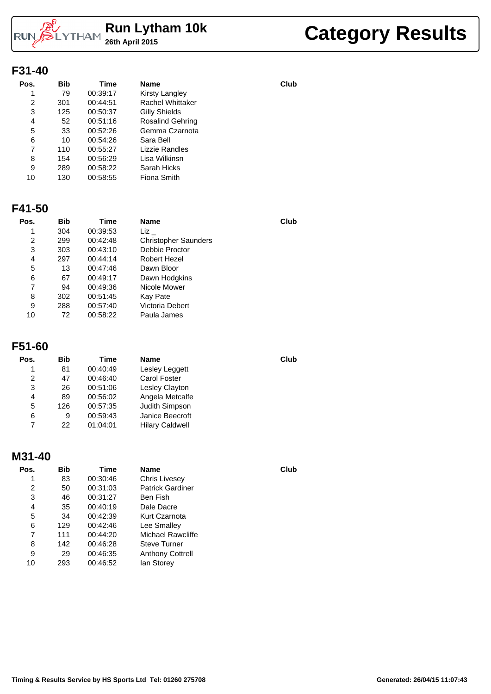

# **26 Category Results**

#### **F31-40**

| Pos. | <b>Bib</b> | Time     | <b>Name</b>             | Club |
|------|------------|----------|-------------------------|------|
|      | 79         | 00:39:17 | Kirsty Langley          |      |
| 2    | 301        | 00:44:51 | <b>Rachel Whittaker</b> |      |
| 3    | 125        | 00:50:37 | Gilly Shields           |      |
| 4    | 52         | 00:51:16 | <b>Rosalind Gehring</b> |      |
| 5    | 33         | 00:52:26 | Gemma Czarnota          |      |
| 6    | 10         | 00:54:26 | Sara Bell               |      |
| 7    | 110        | 00:55:27 | Lizzie Randles          |      |
| 8    | 154        | 00:56:29 | Lisa Wilkinsn           |      |
| 9    | 289        | 00:58:22 | Sarah Hicks             |      |
| 10   | 130        | 00:58:55 | Fiona Smith             |      |

## **F41-50**

| Pos. | <b>Bib</b> | Time     | <b>Name</b>                 | Club |
|------|------------|----------|-----------------------------|------|
|      | 304        | 00:39:53 | Liz                         |      |
| 2    | 299        | 00:42:48 | <b>Christopher Saunders</b> |      |
| 3    | 303        | 00:43:10 | Debbie Proctor              |      |
| 4    | 297        | 00:44:14 | Robert Hezel                |      |
| 5    | 13         | 00:47:46 | Dawn Bloor                  |      |
| 6    | 67         | 00:49:17 | Dawn Hodgkins               |      |
| 7    | 94         | 00:49:36 | Nicole Mower                |      |
| 8    | 302        | 00:51:45 | Kay Pate                    |      |
| 9    | 288        | 00:57:40 | Victoria Debert             |      |
| 10   | 72         | 00:58:22 | Paula James                 |      |

### **F51-60**

| Pos. | <b>Bib</b> | Time     | <b>Name</b>            | Club |
|------|------------|----------|------------------------|------|
|      | 81         | 00:40:49 | Lesley Leggett         |      |
| 2    | 47         | 00:46:40 | Carol Foster           |      |
| 3    | 26         | 00:51:06 | Lesley Clayton         |      |
| 4    | 89         | 00:56:02 | Angela Metcalfe        |      |
| 5    | 126        | 00:57:35 | Judith Simpson         |      |
| 6    | 9          | 00:59:43 | Janice Beecroft        |      |
|      | 22         | 01:04:01 | <b>Hilary Caldwell</b> |      |
|      |            |          |                        |      |

### **M31-40**

| Pos. | <b>Bib</b> | Time     | <b>Name</b>             | Club |
|------|------------|----------|-------------------------|------|
| 1    | 83         | 00:30:46 | Chris Livesey           |      |
| 2    | 50         | 00:31:03 | <b>Patrick Gardiner</b> |      |
| 3    | 46         | 00:31:27 | Ben Fish                |      |
| 4    | 35         | 00:40:19 | Dale Dacre              |      |
| 5    | 34         | 00:42:39 | Kurt Czarnota           |      |
| 6    | 129        | 00:42:46 | Lee Smalley             |      |
| 7    | 111        | 00:44:20 | Michael Rawcliffe       |      |
| 8    | 142        | 00:46:28 | <b>Steve Turner</b>     |      |
| 9    | 29         | 00:46:35 | <b>Anthony Cottrell</b> |      |
| 10   | 293        | 00:46:52 | lan Storey              |      |